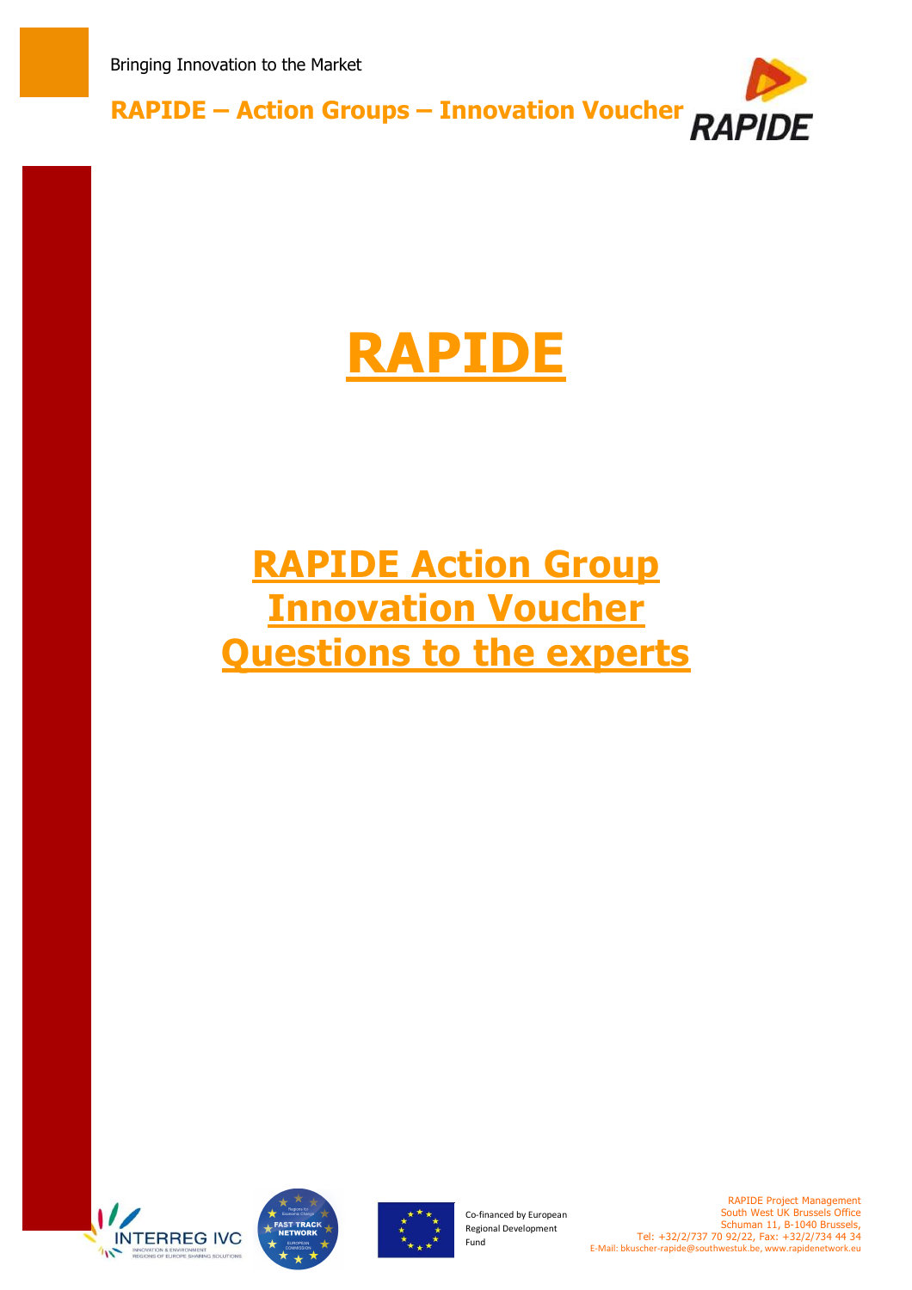

# **RAPIDE**

## **RAPIDE Action Group Innovation Voucher Questions to the experts**







Co-financed by European Regional Development Fund

RAPIDE Project Management South West UK Brussels Office Schuman 11, B-1040 Brussels, Tel: +32/2/737 70 92/22, Fax: +32/2/734 44 34 E-Mail: bkuscher-rapide@southwestuk.be, www.rapidenetwork.eu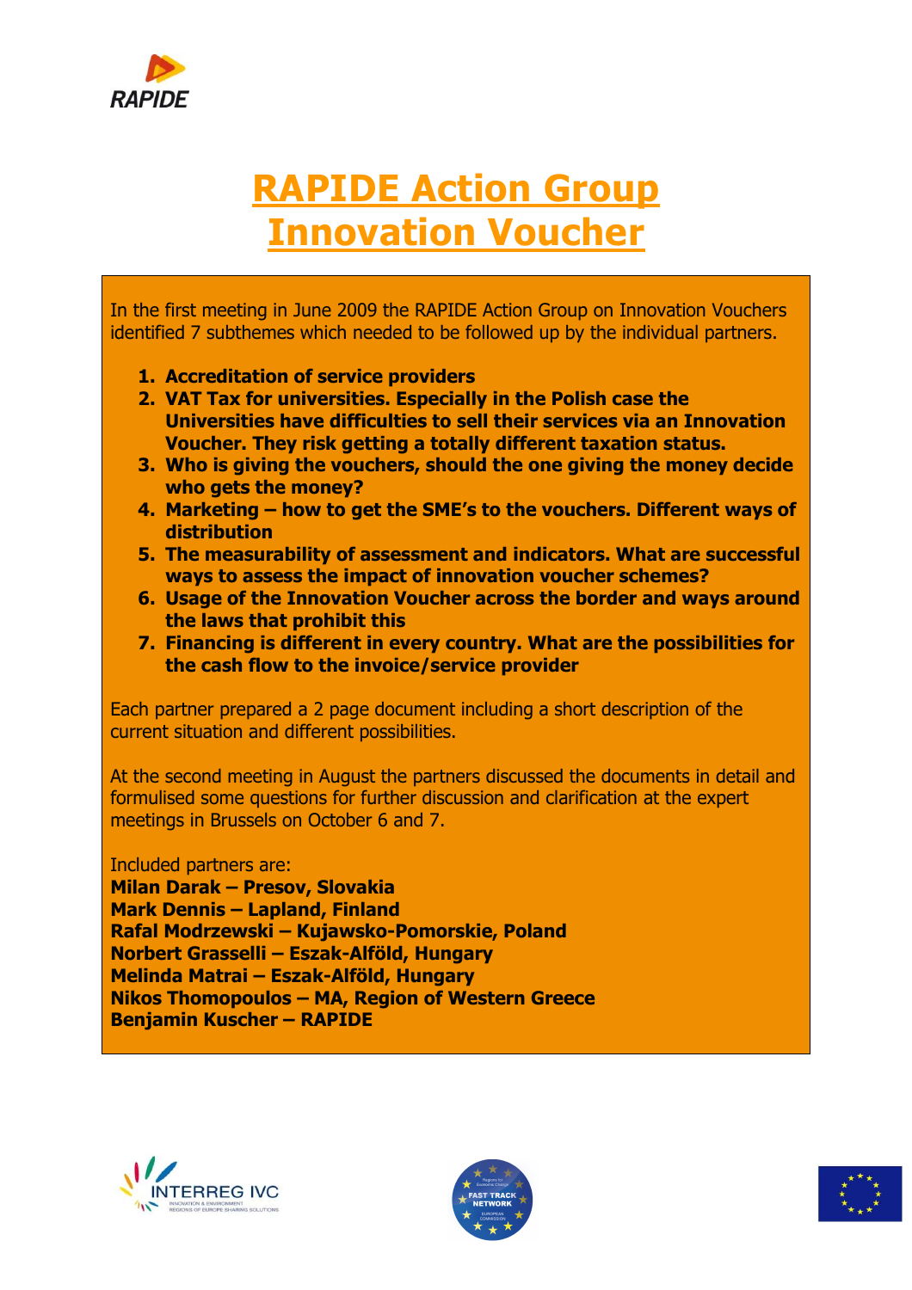

### **RAPIDE Action Group Innovation Voucher**

In the first meeting in June 2009 the RAPIDE Action Group on Innovation Vouchers identified 7 subthemes which needed to be followed up by the individual partners.

- **1. Accreditation of service providers**
- **2. VAT Tax for universities. Especially in the Polish case the Universities have difficulties to sell their services via an Innovation Voucher. They risk getting a totally different taxation status.**
- **3. Who is giving the vouchers, should the one giving the money decide who gets the money?**
- **4. Marketing how to get the SME's to the vouchers. Different ways of distribution**
- **5. The measurability of assessment and indicators. What are successful ways to assess the impact of innovation voucher schemes?**
- **6. Usage of the Innovation Voucher across the border and ways around the laws that prohibit this**
- **7. Financing is different in every country. What are the possibilities for the cash flow to the invoice/service provider**

Each partner prepared a 2 page document including a short description of the current situation and different possibilities.

At the second meeting in August the partners discussed the documents in detail and formulised some questions for further discussion and clarification at the expert meetings in Brussels on October 6 and 7.

Included partners are:

**Milan Darak – Presov, Slovakia Mark Dennis – Lapland, Finland Rafal Modrzewski – Kujawsko-Pomorskie, Poland Norbert Grasselli – Eszak-Alföld, Hungary Melinda Matrai – Eszak-Alföld, Hungary Nikos Thomopoulos – MA, Region of Western Greece Benjamin Kuscher – RAPIDE** 





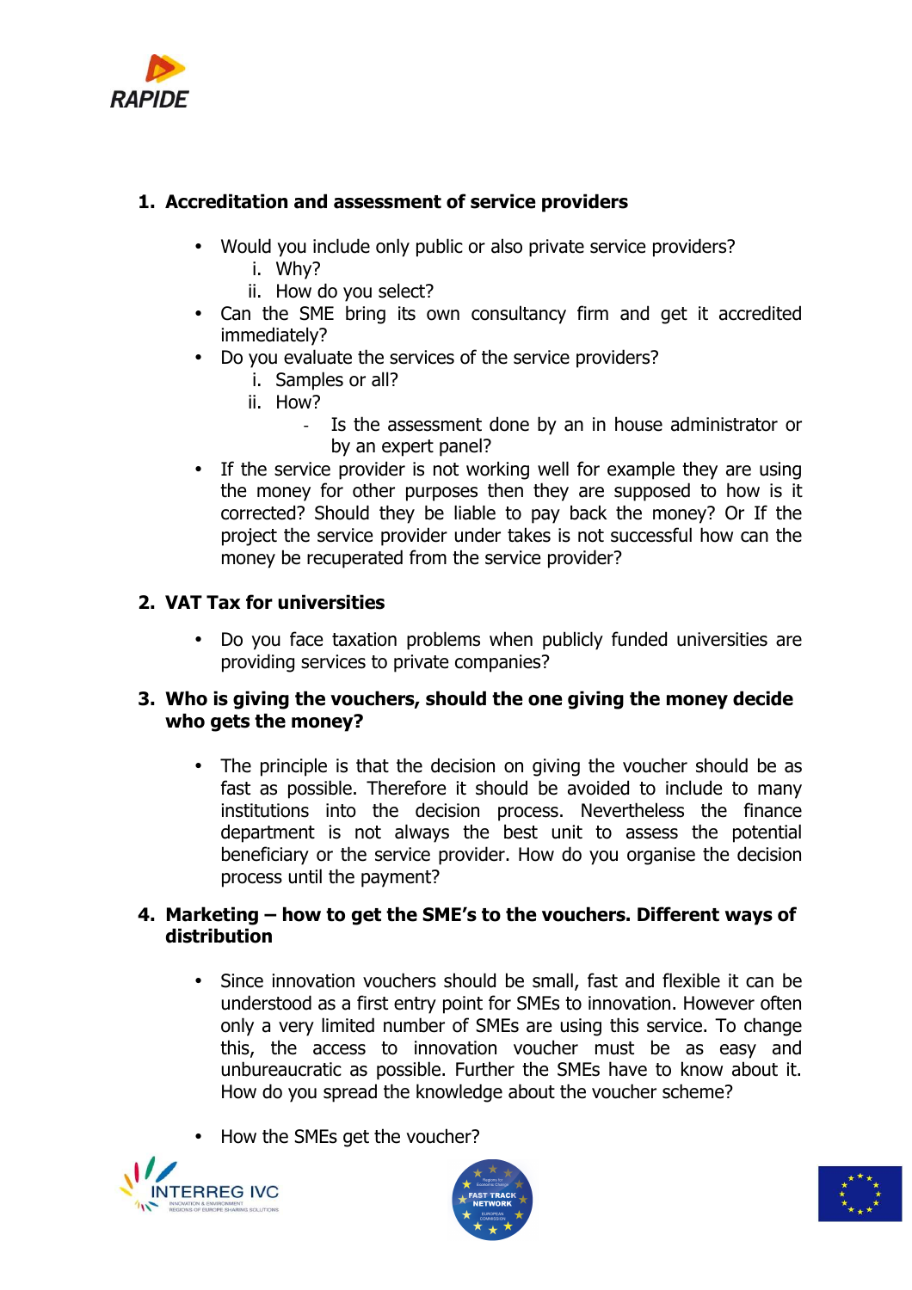

#### **1. Accreditation and assessment of service providers**

- Would you include only public or also private service providers?
	- i. Why?
	- ii. How do you select?
- Can the SME bring its own consultancy firm and get it accredited immediately?
- Do you evaluate the services of the service providers?
	- i. Samples or all?
	- ii. How?
		- Is the assessment done by an in house administrator or by an expert panel?
- If the service provider is not working well for example they are using the money for other purposes then they are supposed to how is it corrected? Should they be liable to pay back the money? Or If the project the service provider under takes is not successful how can the money be recuperated from the service provider?

#### **2. VAT Tax for universities**

• Do you face taxation problems when publicly funded universities are providing services to private companies?

#### **3. Who is giving the vouchers, should the one giving the money decide who gets the money?**

• The principle is that the decision on giving the voucher should be as fast as possible. Therefore it should be avoided to include to many institutions into the decision process. Nevertheless the finance department is not always the best unit to assess the potential beneficiary or the service provider. How do you organise the decision process until the payment?

#### **4. Marketing – how to get the SME's to the vouchers. Different ways of distribution**

- Since innovation vouchers should be small, fast and flexible it can be understood as a first entry point for SMEs to innovation. However often only a very limited number of SMEs are using this service. To change this, the access to innovation voucher must be as easy and unbureaucratic as possible. Further the SMEs have to know about it. How do you spread the knowledge about the voucher scheme?
- How the SMEs get the voucher?